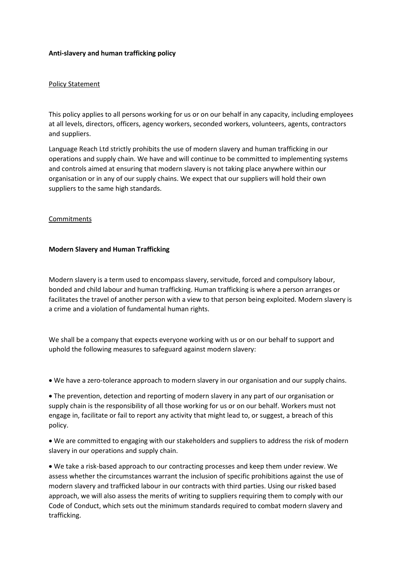## **Anti-slavery and human trafficking policy**

## Policy Statement

This policy applies to all persons working for us or on our behalf in any capacity, including employees at all levels, directors, officers, agency workers, seconded workers, volunteers, agents, contractors and suppliers.

Language Reach Ltd strictly prohibits the use of modern slavery and human trafficking in our operations and supply chain. We have and will continue to be committed to implementing systems and controls aimed at ensuring that modern slavery is not taking place anywhere within our organisation or in any of our supply chains. We expect that our suppliers will hold their own suppliers to the same high standards.

## Commitments

## **Modern Slavery and Human Trafficking**

Modern slavery is a term used to encompass slavery, servitude, forced and compulsory labour, bonded and child labour and human trafficking. Human trafficking is where a person arranges or facilitates the travel of another person with a view to that person being exploited. Modern slavery is a crime and a violation of fundamental human rights.

We shall be a company that expects everyone working with us or on our behalf to support and uphold the following measures to safeguard against modern slavery:

• We have a zero-tolerance approach to modern slavery in our organisation and our supply chains.

• The prevention, detection and reporting of modern slavery in any part of our organisation or supply chain is the responsibility of all those working for us or on our behalf. Workers must not engage in, facilitate or fail to report any activity that might lead to, or suggest, a breach of this policy.

• We are committed to engaging with our stakeholders and suppliers to address the risk of modern slavery in our operations and supply chain.

• We take a risk-based approach to our contracting processes and keep them under review. We assess whether the circumstances warrant the inclusion of specific prohibitions against the use of modern slavery and trafficked labour in our contracts with third parties. Using our risked based approach, we will also assess the merits of writing to suppliers requiring them to comply with our Code of Conduct, which sets out the minimum standards required to combat modern slavery and trafficking.